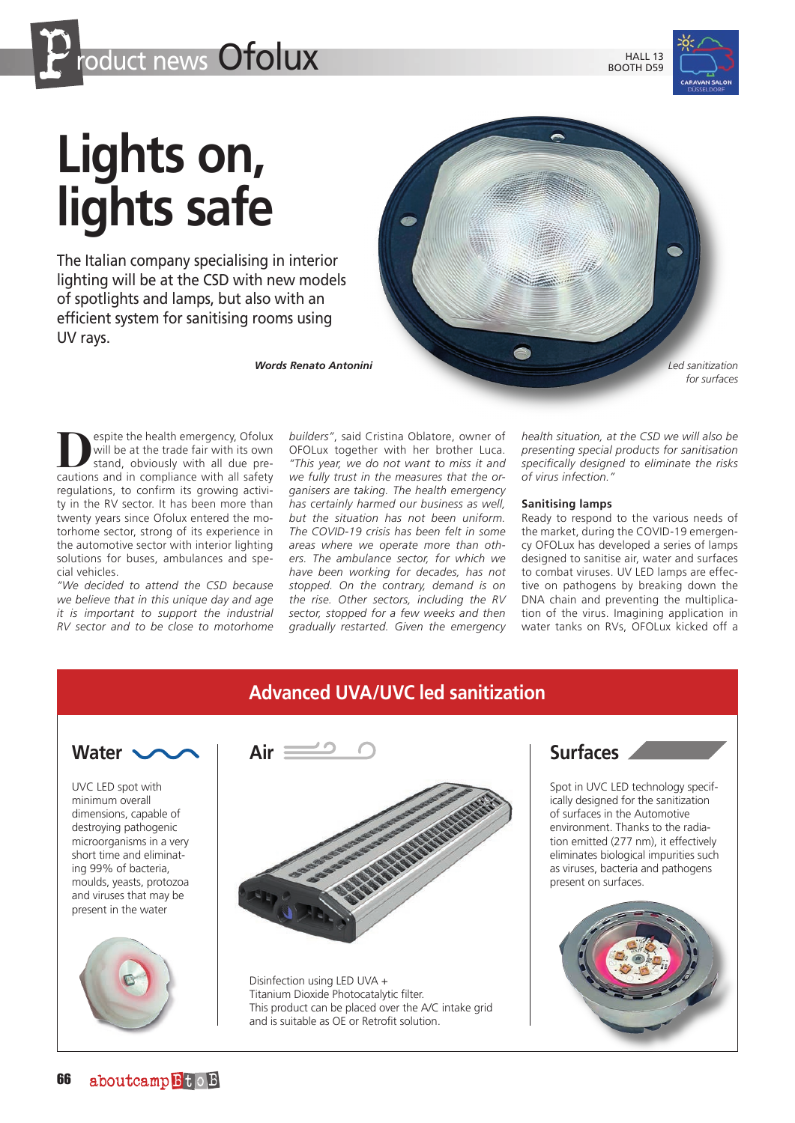

BOOTH D59



## **Lights on, lights safe**

The Italian company specialising in interior lighting will be at the CSD with new models of spotlights and lamps, but also with an efficient system for sanitising rooms using UV rays.

*Words Renato Antonini*



espite the health emergency, Ofolux will be at the trade fair with its own stand, obviously with all due precautions and in compliance with all safety regulations, to confirm its growing activity in the RV sector. It has been more than twenty years since Ofolux entered the motorhome sector, strong of its experience in the automotive sector with interior lighting solutions for buses, ambulances and special vehicles.

*"We decided to attend the CSD because we believe that in this unique day and age it is important to support the industrial RV sector and to be close to motorhome* 

*builders"*, said Cristina Oblatore, owner of OFOLux together with her brother Luca. *"This year, we do not want to miss it and we fully trust in the measures that the organisers are taking. The health emergency has certainly harmed our business as well, but the situation has not been uniform. The COVID-19 crisis has been felt in some areas where we operate more than others. The ambulance sector, for which we have been working for decades, has not stopped. On the contrary, demand is on the rise. Other sectors, including the RV sector, stopped for a few weeks and then gradually restarted. Given the emergency* 

*health situation, at the CSD we will also be presenting special products for sanitisation specifically designed to eliminate the risks of virus infection."*

## **Sanitising lamps**

Ready to respond to the various needs of the market, during the COVID-19 emergency OFOLux has developed a series of lamps designed to sanitise air, water and surfaces to combat viruses. UV LED lamps are effective on pathogens by breaking down the DNA chain and preventing the multiplication of the virus. Imagining application in water tanks on RVs, OFOLux kicked off a